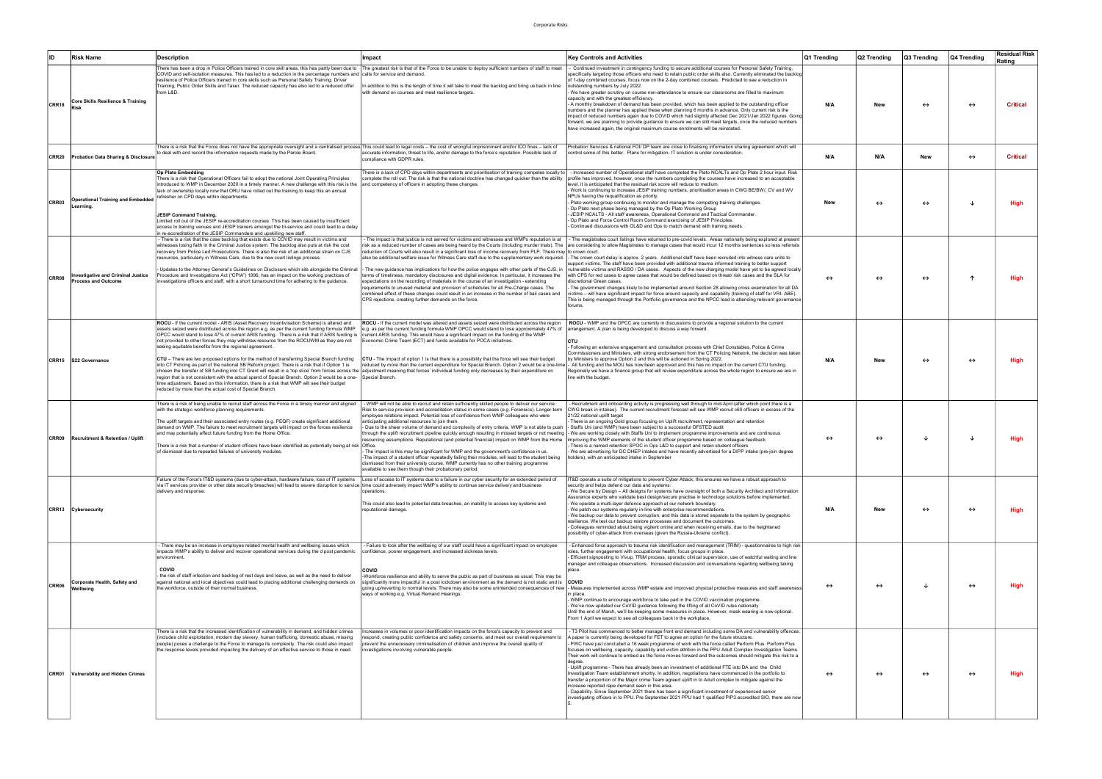| ID           | <b>Risk Name</b>                                                        | <b>Description</b>                                                                                                                                                                                                                                                                                                                                                                                                                                                                                                                                                                                                                                                                                                                                                                                                                                                                                                                                                                                                                                                                                                                                                                                                  | Impact                                                                                                                                                                                                                                                                                                                                                                                                                                                                                                                                                                                                                                                                                                                                                                                          | <b>Key Controls and Activities</b>                                                                                                                                                                                                                                                                                                                                                                                                                                                                                                                                                                                                                                                                                                                                                                                                                                                                                                                                                                                                                                                                                                                                                                                                                                  | Q1 Trending       | Q2 Trending       | Q3 Trending       | Q4 Trending       | <b>Residual Risk</b><br>Rating |
|--------------|-------------------------------------------------------------------------|---------------------------------------------------------------------------------------------------------------------------------------------------------------------------------------------------------------------------------------------------------------------------------------------------------------------------------------------------------------------------------------------------------------------------------------------------------------------------------------------------------------------------------------------------------------------------------------------------------------------------------------------------------------------------------------------------------------------------------------------------------------------------------------------------------------------------------------------------------------------------------------------------------------------------------------------------------------------------------------------------------------------------------------------------------------------------------------------------------------------------------------------------------------------------------------------------------------------|-------------------------------------------------------------------------------------------------------------------------------------------------------------------------------------------------------------------------------------------------------------------------------------------------------------------------------------------------------------------------------------------------------------------------------------------------------------------------------------------------------------------------------------------------------------------------------------------------------------------------------------------------------------------------------------------------------------------------------------------------------------------------------------------------|---------------------------------------------------------------------------------------------------------------------------------------------------------------------------------------------------------------------------------------------------------------------------------------------------------------------------------------------------------------------------------------------------------------------------------------------------------------------------------------------------------------------------------------------------------------------------------------------------------------------------------------------------------------------------------------------------------------------------------------------------------------------------------------------------------------------------------------------------------------------------------------------------------------------------------------------------------------------------------------------------------------------------------------------------------------------------------------------------------------------------------------------------------------------------------------------------------------------------------------------------------------------|-------------------|-------------------|-------------------|-------------------|--------------------------------|
| CRR18        | Core Skills Resilience & Training                                       | COVID and self-isolation measures. This has led to a reduction in the percentage numbers and calls for service and demand.<br>resilience of Police Officers trained in core skills such as Personal Safety Training, Driver<br>Training, Public Order Skills and Taser. The reduced capacity has also led to a reduced offer<br>from L&D.                                                                                                                                                                                                                                                                                                                                                                                                                                                                                                                                                                                                                                                                                                                                                                                                                                                                           | There has been a drop in Police Officers trained in core skill areas, this has partly been due to PThe greatest risk is that of the Force to be unable to deploy sufficient numbers of staff to meet<br>In addition to this is the length of time it will take to meet the backlog and bring us back in line<br>with demand on courses and meet resilience targets.                                                                                                                                                                                                                                                                                                                                                                                                                             | Continued investment in contingency funding to secure additional courses for Personal Safety Training,<br>specifically targeting those officers who need to retain public order skills also. Currently eliminated the backlog<br>of 1-day combined courses, focus now on the 2-day combined courses. Predicted to see a reduction in<br>outstanding numbers by July 2022.<br>We have greater scrutiny on course non-attendance to ensure our classrooms are filled to maximum<br>capacity and with the greatest efficiency.<br>A monthly breakdown of demand has been provided, which has been applied to the outstanding officer<br>numbers and the planner has applied these when planning 6 months in advance. Only current risk is the<br>impact of reduced numbers again due to COVID which had slightly affected Dec 2021/Jan 2022 figures. Going<br>forward, we are planning to provide quidance to ensure we can still meet targets, once the reduced numbers<br>have increased again, the original maximum course enrolments will be reinstated.                                                                                                                                                                                                           | N/A               | New               | $\leftrightarrow$ | $\leftrightarrow$ | <b>Critical</b>                |
|              | CRR20 Probation Data Sharing & Disclosure                               | There is a risk that the Force does not have the appropriate oversight and a centralised process This could lead to legal costs – the cost of wrongful imprisonment and/or ICO fines – lack of<br>to deal with and record the information requests made by the Parole Board.                                                                                                                                                                                                                                                                                                                                                                                                                                                                                                                                                                                                                                                                                                                                                                                                                                                                                                                                        | accurate information, threat to life, and/or damage to the force's reputation. Possible lack of<br>compliance with GDPR rules.                                                                                                                                                                                                                                                                                                                                                                                                                                                                                                                                                                                                                                                                  | Probation Services & national FOI/ DP team are close to finalising information sharing agreement which will<br>control some of this better. Plans for mitigation-IT solution is under consideration.                                                                                                                                                                                                                                                                                                                                                                                                                                                                                                                                                                                                                                                                                                                                                                                                                                                                                                                                                                                                                                                                | N/A               | N/A               | New               | $\leftrightarrow$ | <b>Critical</b>                |
| CRR03        | <b>Operational Training and Embedded</b><br>Learning.                   | Op Plato Embedding<br>There is a risk that Operational Officers fail to adopt the national Joint Operating Principles<br>introduced to WMP in December 2020 in a timely manner. A new challenge with this risk is the<br>lack of ownership locally now that ORU have rolled out the training to keep this an annual<br>refresher on CPD days within departments.<br><b>JESIP Command Training.</b><br>Limited roll out of the JESIP re-accreditation courses. This has been caused by insufficient<br>access to training venues and JESIP trainers amongst the tri-service and could lead to a delay<br>in re-accreditation of the JESIP Commanders and upskilling new staff.                                                                                                                                                                                                                                                                                                                                                                                                                                                                                                                                       | There is a lack of CPD davs within departments and prioritisation of training competes locally to $\vert$<br>and competency of officers in adopting these changes.                                                                                                                                                                                                                                                                                                                                                                                                                                                                                                                                                                                                                              | - Increased number of Operational staff have completed the Plato NCALTs and Op Plato 2 hour input. Risk<br>complete the roll out. The risk is that the national doctrine has changed quicker than the ability profile has improved, however, once the numbers completing the courses have increased to an acceptable<br>level, it is anticipated that the residual risk score will reduce to medium.<br>Work is continuing to increase JESIP training numbers, prioritisation areas in CWG BE/BW/, CV and WV<br>NPUs having the requalification as priority.<br>- Plato working group continuing to monitor and manage the competing training challenges.<br>- Op Plato next phase being managed by the Op Plato Working Group<br>JESIP NCALTS - All staff awareness, Operational Command and Tactical Commander.<br>- Op Plato and Force Control Room Command exercising of JESIP Principles.<br>Continued discussions with OL&D and Ops to match demand with training needs.                                                                                                                                                                                                                                                                                      | New               | $\leftrightarrow$ | $\leftrightarrow$ |                   | High                           |
| CRR08        | <b>Investigative and Criminal Justice</b><br><b>Process and Outcome</b> | - There is a risk that the case backlog that exists due to COVID may result in victims and<br>witnesses losing faith in the Criminal Justice system. The backlog also puts at risk the cost<br>recovery from Police Led Prosecutions. There is also the risk of an additional strain on CJS<br>resources, particularly in Witness Care, due to the new court listings process.<br>Updates to the Attorney General's Guidelines on Disclosure which sits alongside the Criminal<br>Procedure and Investigations Act ("CPIA") 1996, has an impact on the working practices of<br>nvestigations officers and staff, with a short turnaround time for adhering to the guidance.                                                                                                                                                                                                                                                                                                                                                                                                                                                                                                                                         | The impact is that justice is not served for victims and witnesses and WMPs reputation is at<br>reduction of Courts will also result in a significant loss of income recovery from PLP. There may to crown court.<br>- The new guidance has implications for how the police engages with other parts of the CJS, in<br>terms of timeliness, mandatory disclosures and digital evidence. In particular, it increases the<br>expectations on the recording of materials in the course of an investigation - extending<br>requirements to unused material and provision of schedules for all Pre-Charge cases. The<br>combined effect of these changes could result in an increase in the number of bail cases and<br>CPS rejections, creating further demands on the force.                       | - The magistrates court listings have returned to pre-covid levels. Areas nationally being explored at present<br>risk as a reduced number of cases are being heard by the Courts (including murder trials). The are considering to allow Magistrates to manage cases that would incur 12 months sentences so less referrals<br>also be additional welfare issue for Witness Care staff due to the supplementary work required.  - The crown court delay is approx. 2 years. Additional staff have been recruited into witness care units to<br>support victims. The staff have been provided with additional trauma informed training to better support<br>vulnerable victims and RASSO / DA cases. Aspects of the new charging model have yet to be agreed locally<br>with CPS for red cases to agree cases that would be defined based on threat/ risk cases and the SLA for<br>discretional Green cases.<br>The government changes likely to be implemented around Section 28 allowing cross examination for all DA<br>victims - will have significant impact for force around capacity and capability (training of staff for VRI-ABE).<br>This is being managed through the Portfolio governance and the NPCC lead is attending relevant governance<br>forums. | $\leftrightarrow$ | $\leftrightarrow$ | $\leftrightarrow$ |                   | Hiah                           |
|              | CRR15 S22 Governance                                                    | ROCU - If the current model - ARIS (Asset Recovery Incentivisation Scheme) is altered and<br>assets seized were distributed across the region e.g. as per the current funding formula WMP<br>OPCC would stand to lose 47% of current ARIS funding. There is a risk that if ARIS funding is current ARIS funding. This would have a significant impact on the funding of the WMP<br>not provided to other forces they may withdraw resource from the ROCUWM as they are not<br>seeing equitable benefits from the regional agreement.<br>CTU - There are two proposed options for the method of transferring Special Branch funding<br>into CT Policing as part of the national SB Reform project. There is a risk that if Option 1 is<br>chosen the transfer of SB funding into CT Grant will result in a 'top slice' from forces across the  adjustment meaning that forces' individual funding only decreases by their expenditure on<br>region that is not consistent with the actual spend of Special Branch. Option 2 would be a one- Special Branch.<br>time adjustment. Based on this information, there is a risk that WMP will see their budget<br>reduced by more than the actual cost of Special Branch. | ROCU - If the current model was altered and assets seized were distributed across the region<br>e.g. as per the current funding formula WMP OPCC would stand to lose approximately 47% of arrangement. A plan is being developed to discuss a way forward.<br>Economic Crime Team (ECT) and funds available for POCA initiatives.<br>CTU - The impact of option 1 is that there is a possibility that the force will see their budget<br>reduced by more than the current expenditure for Special Branch. Option 2 would be a one-time                                                                                                                                                                                                                                                          | ROCU - WMP and the OPCC are currently in discussions to provide a regional solution to the current<br>- Following an extensive engagement and consultation process with Chief Constables, Police & Crime<br>Commissioners and Ministers, with strong endorsement from the CT Policing Network, the decision was taken<br>by Ministers to approve Option 2 and this will be actioned in Spring 2022.<br>All funding and the MOU has now been approved and this has no impact on the current CTU funding.<br>Regionally we have a finance group that will review expenditure across the whole region to ensure we are in<br>line with the budget.                                                                                                                                                                                                                                                                                                                                                                                                                                                                                                                                                                                                                     | N/A               | New               | $\leftrightarrow$ | $\leftrightarrow$ | Hiah                           |
| <b>CRR09</b> | <b>Recruitment &amp; Retention / Uplift</b>                             | There is a risk of being unable to recruit staff across the Force in a timely manner and aligned<br>with the strategic workforce planning requirements.<br>The uplift targets and their associated entry routes (e.g. PEQF) create significant additional<br>demand on WMP. The failure to meet recruitment targets will impact on the forces resilience<br>and may potentially affect future funding from the Home Office.<br>There is a risk that a number of student officers have been identified as potentially being at risk  Office.<br>of dismissal due to repeated failures of university modules.                                                                                                                                                                                                                                                                                                                                                                                                                                                                                                                                                                                                         | - WMP will not be able to recruit and retain sufficiently skilled people to deliver our service.<br>Risk to service provision and accreditation status in some cases (e.g. Forensics). Longer-term<br>employee relations impact. Potential loss of confidence from WMP colleagues who were<br>anticipating additional resources to join them.<br>- Due to the sheer volume of demand and complexity of entry criteria, WMP is not able to push<br>The impact is this may be significant for WMP and the government's confidence in us.<br>-The impact of a student officer repeatedly failing their modules, will lead to the student being<br>dismissed from their university course, WMP currently has no other training programme<br>available to see them though their probationary period. | Recruitment and onboarding activity is progressing well through to mid-April (after which point there is a<br>CWG break in intakes). The current recruitment forecast will see WMP recruit c60 officers in excess of the<br>21/22 national uplift target<br>There is an ongoing Gold group focusing on Uplift recruitment, representation and retention<br>- Staffs Uni (and WMP) have been subject to a successful OFSTED audit<br>through the uplift recruitment pipeline quickly enough resulting in missed targets or not meeting  - We are working closely with Staffs Uni to implement programme improvements and are continuous<br>resourcing assumptions. Reputational (and potential financial) impact on WMP from the Home [improving the WMP elements of the student officer programme based on colleague feedback<br>There is a named retention SPOC in Ops L&D to support and retain student officers<br>We are advertising for DC DHEP intakes and have recently advertised for a DIPP intake (pre-join degree<br>holders), with an anticipated intake in September                                                                                                                                                                                   | ↔                 |                   |                   |                   |                                |
|              | CRR13 Cybersecurity                                                     | Failure of the Force's IT&D systems (due to cyber-attack, hardware failure, loss of IT systems Loss of access to IT systems due to a failure in our cyber security for an extended period of<br>via IT services provider or other data security breaches) will lead to severe disruption to service time could adversely impact WMP's ability to continue service delivery and business<br>delivery and response.                                                                                                                                                                                                                                                                                                                                                                                                                                                                                                                                                                                                                                                                                                                                                                                                   | operations.<br>This could also lead to potential data breaches, an inability to access key systems and<br>reputational damage.                                                                                                                                                                                                                                                                                                                                                                                                                                                                                                                                                                                                                                                                  | IT&D operate a suite of mitigations to prevent Cyber Attack, this ensures we have a robust approach to<br>security and helps defend our data and systems:<br>- We Secure by Design - All designs for systems have oversight of both a Security Architect and Information<br>Assurance experts who validate best design/secure practise in technology solutions before implemented.<br>- We operate a multi-layer defence approach at our network boundary.<br>We patch our systems regularly in-line with enterprise recommendations.<br>- We backup our data to prevent corruption, and this data is stored separate to the system by geographic<br>resilience. We test our backup restore processes and document the outcomes.<br>- Colleagues reminded about being vigilent online and when receiving emails, due to the heightened<br>possibility of cyber-attack from overseas (given the Russia-Ukraine conflict).                                                                                                                                                                                                                                                                                                                                            | N/A               | New               | $\leftrightarrow$ | $\leftrightarrow$ | <b>High</b>                    |
| CRR06        | Corporate Health, Safety and<br>Wellbeing                               | There may be an increase in employee related mental health and wellbeing issues which<br>impacts WMP's ability to deliver and recover operational services during the d post pandemic<br>environment.<br><b>COVID</b><br>the risk of staff infection and backlog of rest days and leave, as well as the need to deliver<br>against national and local objectives could lead to placing additional challenging demands on<br>the workforce, outside of their normal business.                                                                                                                                                                                                                                                                                                                                                                                                                                                                                                                                                                                                                                                                                                                                        | Failure to look after the wellbeing of our staff could have a significant impact on employee<br>confidence, poorer engagement, and increased sickness levels.<br><b>COVID</b><br>-Workforce resilience and ability to serve the public as part of business as usual. This may be<br>significantly more impactful in a post lockdown environment as the demand is not static and is $ COVID $<br>ways of working e.g. Virtual Remand Hearings.                                                                                                                                                                                                                                                                                                                                                   | Enhanced force approach to trauma risk identification and management (TRIM) - questionnaires to high risk<br>roles, further engagement with occupational health, focus groups in place.<br>- Efficient signposting to Vivup, TRiM process, sporadic clinical supervision, use of watchful waiting and line<br>manager and colleague observations. Increased discussion and conversations regarding wellbeing taking<br>place.<br>going up/reverting to normal levels. There may also be some unintended consequences of new  - Measures implemented across WMP estate and improved physical protective measures and staff awareness<br>n place.<br>- WMP continue to encourage workforce to take part in the COVID vaccination programme.<br>- We've now updated our CoVID guidance following the lifting of all CoVID rules nationally<br>Until the end of March, we'll be keeping some measures in place. However, mask wearing is now optional.<br>From 1 April we expect to see all colleagues back in the workplace.                                                                                                                                                                                                                                           | ↔                 | $\leftrightarrow$ | ึง                | $\leftrightarrow$ | <b>High</b>                    |
|              | CRR01 Vulnerability and Hidden Crimes                                   | There is a risk that the increased identification of vulnerability in demand, and hidden crimes<br>(includes child exploitation, modern day slavery, human trafficking, domestic abuse, missing<br>people) poses a challenge to the Force to manage its complexity. The risk could also impact<br>the response levels provided impacting the delivery of an effective service to those in need.                                                                                                                                                                                                                                                                                                                                                                                                                                                                                                                                                                                                                                                                                                                                                                                                                     | Increases in volumes or poor identification impacts on the force's capacity to prevent and<br>respond, creating public confidence and safety concerns, and meet our overall requirement to<br>prevent the unnecessary criminalisation of children and improve the overall quality of<br>investigations involving vulnerable people.                                                                                                                                                                                                                                                                                                                                                                                                                                                             | T3 Pilot has commenced to better manage front end demand including some DA and vulnerability offences.<br>paper is currently being developed for FET to agree an option for the future structure.<br>PWC have just concluded a 16 week programme of work with the force called Perform Plus. Perform Plus<br>focuses on wellbeing, capacity, capability and victim attrition in the PPU Adult Complex Investigation Teams.<br>Their work will continue to embed as the force moves forward and the outcomes should mitigate this risk to a<br>- Uplift programme - There has already been an investment of additional FTE into DA and the Child<br>Investigation Team establishment shortly. In addition, negotiations have commenced in the portfolio to<br>transfer a proportion of the Major crime Team agreed uplift in to Adult complex to mitigate against the<br>increase reported rape demand seen in this area.<br>- Capability. Since September 2021 there has been a significant investment of experienced senior<br>investigating officers in to PPU. Pre September 2021 PPU had 1 qualified PIP3 accredited SIO, there are now                                                                                                                         | $\leftrightarrow$ | $\leftrightarrow$ | $\leftrightarrow$ | $\leftrightarrow$ | <b>High</b>                    |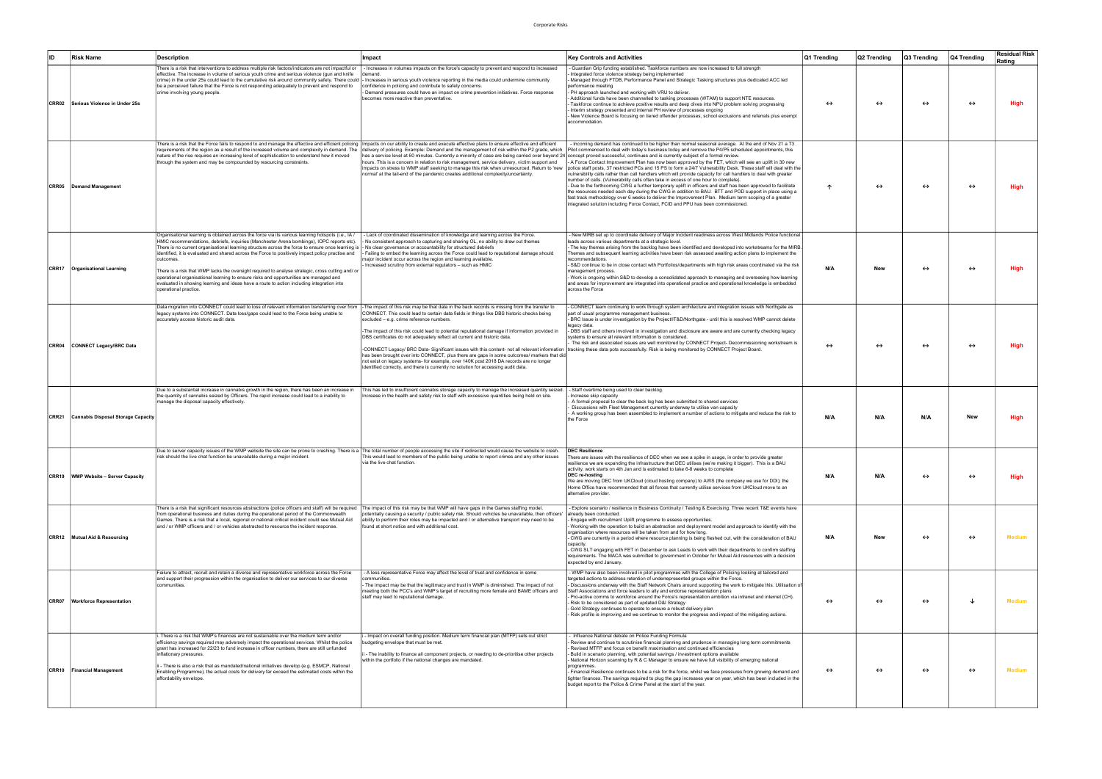| <b>ID</b> | <b>Risk Name</b>                         | Description                                                                                                                                                                                                                                                                                                                                                                                                                                                                                                                                                                                                                                                                                                                                                                                                                                                                                           | Impact                                                                                                                                                                                                                                                                                                                                                                                                                                                                                                                                                                                                                                                                                                                                                                                                                                                                                        | <b>Key Controls and Activities</b>                                                                                                                                                                                                                                                                                                                                                                                                                                                                                                                                                                                                                                                                                                                                                                                                                                                                                                                                                                                                                                                                                                                                           | Q1 Trending       | Q2 Trending       | Q3 Trending       | Q4 Trending       | <b>Residual Risk</b><br>Rating |
|-----------|------------------------------------------|-------------------------------------------------------------------------------------------------------------------------------------------------------------------------------------------------------------------------------------------------------------------------------------------------------------------------------------------------------------------------------------------------------------------------------------------------------------------------------------------------------------------------------------------------------------------------------------------------------------------------------------------------------------------------------------------------------------------------------------------------------------------------------------------------------------------------------------------------------------------------------------------------------|-----------------------------------------------------------------------------------------------------------------------------------------------------------------------------------------------------------------------------------------------------------------------------------------------------------------------------------------------------------------------------------------------------------------------------------------------------------------------------------------------------------------------------------------------------------------------------------------------------------------------------------------------------------------------------------------------------------------------------------------------------------------------------------------------------------------------------------------------------------------------------------------------|------------------------------------------------------------------------------------------------------------------------------------------------------------------------------------------------------------------------------------------------------------------------------------------------------------------------------------------------------------------------------------------------------------------------------------------------------------------------------------------------------------------------------------------------------------------------------------------------------------------------------------------------------------------------------------------------------------------------------------------------------------------------------------------------------------------------------------------------------------------------------------------------------------------------------------------------------------------------------------------------------------------------------------------------------------------------------------------------------------------------------------------------------------------------------|-------------------|-------------------|-------------------|-------------------|--------------------------------|
|           | CRR02 Serious Violence in Under 25s      | There is a risk that interventions to address multiple risk factors/indicators are not impactful or   - Increases in volumes impacts on the force's capacity to prevent and respond to increased<br>effective. The increase in volume of serious youth crime and serious violence (gun and knife<br>crime) in the under 25s could lead to the cumulative risk around community safety. There could  - Increases in serious youth violence reporting in the media could undermine community<br>be a perceived failure that the Force is not responding adequately to prevent and respond to<br>crime involving young people.                                                                                                                                                                                                                                                                           | demand.<br>confidence in policing and contribute to safety concerns.<br>Demand pressures could have an impact on crime prevention initiatives. Force response<br>becomes more reactive than preventative.                                                                                                                                                                                                                                                                                                                                                                                                                                                                                                                                                                                                                                                                                     | Guardian Grip funding established. Taskforce numbers are now increased to full strength<br>Integrated force violence strategy being implemented<br>Managed through FTDB, Performance Panel and Strategic Tasking structures plus dedicated ACC led<br>performance meeting<br>- PH approach launched and working with VRU to deliver.<br>Additional funds have been channelled to tasking processes (WTAM) to support NTE resources.<br>Taskforce continue to achieve positive results and deep dives into NPU problem solving progressing<br>Interim strategy presented and internal PH review of processes ongoing<br>New Violence Board is focusing on tiered offender processes, school exclusions and referrals plus exempt<br>accommodation.                                                                                                                                                                                                                                                                                                                                                                                                                            | $\leftrightarrow$ | ↔                 | $\leftrightarrow$ | $\leftrightarrow$ | <b>High</b>                    |
|           | <b>CRR05</b> Demand Management           | There is a risk that the Force fails to respond to and manage the effective and efficient policing Impacts on our ability to create and execute effective plans to ensure effective and efficient<br>nature of the rise requires an increasing level of sophistication to understand how it moved<br>through the system and may be compounded by resourcing constraints.                                                                                                                                                                                                                                                                                                                                                                                                                                                                                                                              | requirements of the region as a result of the increased volume and complexity in demand. The delivery of policing. Example: Demand and the management of risk within the P2 grade, which<br>has a service level at 60 minutes. Currently a minority of case are being carried over beyond 24 concept proved successful, continues and is currently subject of a formal review.<br>hours. This is a concern in relation to risk management, service delivery, victim support and<br>normal' at the tail-end of the pandemic creates additional complexity/uncertainty.                                                                                                                                                                                                                                                                                                                         | - Incoming demand has continued to be higher than normal seasonal average. At the end of Nov 21 a T3<br>Pilot commenced to deal with today's business today and remove the P4/P5 scheduled appointments, this<br>- A Force Contact Improvement Plan has now been approved by the FET, which will see an uplift in 30 new<br>impacts on stress to WMP staff seeking to manage this risk when unresourced. Return to 'new  police staff posts, 37 restricted PCs and 15 PS to form a 24/7 Vulnerability Desk. These staff will deal with the<br>vulnerability calls rather than call handlers which will provide capacity for call handlers to deal with greater<br>number of calls. (Vulnerability calls often take in excess of one hour to complete).<br>- Due to the forthcoming CWG a further temporary uplift in officers and staff has been approved to facilitate<br>the resources needed each day during the CWG in addition to BAU. BTT and POD support in place using a<br>fast track methodology over 6 weeks to deliver the Improvement Plan. Medium term scoping of a greater<br>ntegrated solution including Force Contact, FCID and PPU has been commissioned. | ↑                 | ↔                 | $\leftrightarrow$ | $\leftrightarrow$ | High                           |
|           | CRR17   Organisational Learning          | Organisational learning is obtained across the force via its various learning hotspots (i.e., IA /<br>HMIC recommendations, debriefs, inquiries (Manchester Arena bombings), IOPC reports etc).<br>There is no current organisational learning structure across the force to ensure once learning is  - No clear governance or accountability for structured debriefs<br>identified, it is evaluated and shared across the Force to positively impact policy practise and  - Failing to embed the learning across the Force could lead to reputational damage should<br>outcomes.<br>There is a risk that WMP lacks the oversight required to analyse strategic, cross cutting and/ or<br>operational organisational learning to ensure risks and opportunities are managed and<br>evaluated in showing learning and ideas have a route to action including integration into<br>operational practice. | - Lack of coordinated dissemination of knowledge and learning across the Force.<br>- No consistent approach to capturing and sharing OL, no ability to draw out themes<br>major incident occur across the region and learning available.<br>- Increased scrutiny from external regulators - such as HMIC                                                                                                                                                                                                                                                                                                                                                                                                                                                                                                                                                                                      | New MIRB set up to coordinate delivery of Major Incident readiness across West Midlands Police functional<br>leads across various departments at a strategic level.<br>The key themes arising from the backlog have been identified and developed into workstreams for the MIRB<br>Themes and subsequent learning activities have been risk assessed awaiting action plans to implement the<br>ecommendations.<br>S&D continue to be in close contact with Portfolios/departments with high risk areas coordinated via the risk<br>management process.<br>Work is ongoing within S&D to develop a consolidated approach to managing and overseeing how learning<br>and areas for improvement are integrated into operational practice and operational knowledge is embedded<br>across the Force                                                                                                                                                                                                                                                                                                                                                                              | N/A               | New               | $\leftrightarrow$ | $\leftrightarrow$ | <b>High</b>                    |
|           | CRR04 CONNECT Legacy/BRC Data            | Data migration into CONNECT could lead to loss of relevant information transferring over from<br>legacy systems into CONNECT. Data loss/gaps could lead to the Force being unable to<br>accurately access historic audit data.                                                                                                                                                                                                                                                                                                                                                                                                                                                                                                                                                                                                                                                                        | -The impact of this risk may be that data in the back records is missing from the transfer to<br>CONNECT. This could lead to certain data fields in things like DBS historic checks being<br>excluded - e.g. crime reference numbers.<br>-The impact of this risk could lead to potential reputational damage if information provided in<br>DBS certificates do not adequately reflect all current and historic data.<br>-CONNECT Legacy/ BRC Data- Significant issues with this content- not all relevant information tracking these data pots successfully. Risk is being monitored by CONNECT Project Board.<br>has been brought over into CONNECT, plus there are gaps in some outcomes/ markers that did<br>not exist on legacy systems- for example, over 140K post 2018 DA records are no longer<br>identified correctly, and there is currently no solution for accessing audit data. | CONNECT team continuing to work through system architecture and integration issues with Northgate as<br>part of usual programme management business.<br>BRC Issue is under investigation by the Project/IT&D/Northgate - until this is resolved WMP cannot delete<br>legacy data.<br>- DBS staff and others involved in investigation and disclosure are aware and are currently checking legacy<br>systems to ensure all relevant information is considered.<br>The risk and associated issues are well monitored by CONNECT Project- Decommissioning workstream is                                                                                                                                                                                                                                                                                                                                                                                                                                                                                                                                                                                                         | $\leftrightarrow$ | $\leftrightarrow$ | $\leftrightarrow$ | $\leftrightarrow$ | <b>High</b>                    |
|           | CRR21 Cannabis Disposal Storage Capacity | Due to a substantial increase in cannabis growth in the region, there has been an increase in<br>the quantity of cannabis seized by Officers. The rapid increase could lead to a inability to<br>manage the disposal capacity effectively.                                                                                                                                                                                                                                                                                                                                                                                                                                                                                                                                                                                                                                                            | This has led to insufficient cannabis storage capacity to manage the increased quantity seized.<br>Increase in the health and safety risk to staff with excessive quantities being held on site.                                                                                                                                                                                                                                                                                                                                                                                                                                                                                                                                                                                                                                                                                              | - Staff overtime being used to clear backlog.<br>Increase skip capacity<br>A formal proposal to clear the back log has been submitted to shared services<br>Discussions with Fleet Management currently underway to utilise van capacity<br>A working group has been assembled to implement a number of actions to mitigate and reduce the risk to<br>the Force                                                                                                                                                                                                                                                                                                                                                                                                                                                                                                                                                                                                                                                                                                                                                                                                              | N/A               | N/A               | N/A               | New               | High                           |
|           | CRR19   WMP Website - Server Capacity    | Due to server capacity issues of the WMP website the site can be prone to crashing. There is a  The total number of people accessing the site if redirected would cause the website to crash.<br>risk should the live chat function be unavailable during a major incident.                                                                                                                                                                                                                                                                                                                                                                                                                                                                                                                                                                                                                           | This would lead to members of the public being unable to report crimes and any other issues<br>via the live chat function.                                                                                                                                                                                                                                                                                                                                                                                                                                                                                                                                                                                                                                                                                                                                                                    | <b>DEC Resilience</b><br>There are issues with the resilience of DEC when we see a spike in usage, in order to provide greater<br>esilience we are expanding the infrastructure that DEC utilises (we're making it bigger). This is a BAU<br>activity, work starts on 4th Jan and is estimated to take 6-8 weeks to complete<br>DEC re-hosting<br>We are moving DEC from UKCloud (cloud hosting company) to AWS (the company we use for DDI); the<br>Home Office have recommended that all forces that currently utilise services from UKCloud move to an<br>alternative provider.                                                                                                                                                                                                                                                                                                                                                                                                                                                                                                                                                                                           | N/A               | N/A               | $\leftrightarrow$ | $\leftrightarrow$ | High                           |
|           | CRR12 Mutual Aid & Resourcing            | There is a risk that significant resources abstractions (police officers and staff) will be required [The impact of this risk may be that WMP will have gaps in the Games staffing model,<br>from operational business and duties during the operational period of the Commonwealth<br>Games. There is a risk that a local, regional or national critical incident could see Mutual Aid<br>and / or WMP officers and / or vehicles abstracted to resource the incident response.                                                                                                                                                                                                                                                                                                                                                                                                                      | potentially causing a security / public safety risk. Should vehicles be unavailable, then officers'<br>ability to perform their roles may be impacted and / or alternative transport may need to be<br>found at short notice and with additional cost.                                                                                                                                                                                                                                                                                                                                                                                                                                                                                                                                                                                                                                        | Explore scenario / resilience in Business Continuity / Testing & Exercising. Three recent T&E events have<br>already been conducted.<br>Engage with recruitment Uplift programme to assess opportunities.<br>- Working with the operation to build an abstraction and deployment model and approach to identify with the<br>organisation where resources will be taken from and for how long.<br>- CWG are currently in a period where resource planning is being fleshed out, with the consideration of BAU<br>capacitv.<br>- CWG SLT engaging with FET in December to ask Leads to work with their departments to confirm staffing<br>requirements. The MACA was submitted to government in October for Mutual Aid resources with a decision<br>expected by end January.                                                                                                                                                                                                                                                                                                                                                                                                   | N/A               | New               | $\leftrightarrow$ | $\leftrightarrow$ | Medium                         |
|           | <b>CRR07 Workforce Representation</b>    | Failure to attract, recruit and retain a diverse and representative workforce across the Force<br>and support their progression within the organisation to deliver our services to our diverse<br>communities.                                                                                                                                                                                                                                                                                                                                                                                                                                                                                                                                                                                                                                                                                        | - A less representative Force may affect the level of trust and confidence in some<br>communities.<br>- The impact may be that the legitimacy and trust in WMP is diminished. The impact of not<br>meeting both the PCC's and WMP's target of recruiting more female and BAME officers and<br>staff may lead to reputational damage.                                                                                                                                                                                                                                                                                                                                                                                                                                                                                                                                                          | WMP have also been involved in pilot programmes with the College of Policing looking at tailored and<br>argeted actions to address retention of underrepresented groups within the Force.<br>Discussions underway with the Staff Network Chairs around supporting the work to mitigate this. Utilisation of<br>Staff Associations and force leaders to ally and endorse representation plans<br>Pro-active comms to workforce around the Force's representation ambition via intranet and internet (CH).<br>Risk to be considered as part of updated D&I Strategy<br>Gold Strategy continues to operate to ensure a robust delivery plan<br>- Risk profile is improving and we continue to monitor the progress and impact of the mitigating actions.                                                                                                                                                                                                                                                                                                                                                                                                                        | $\leftrightarrow$ | $\leftrightarrow$ | $\leftrightarrow$ |                   | Medium                         |
|           | CRR10   Financial Management             | There is a risk that WMP's finances are not sustainable over the medium term and/or<br>efficiency savings required may adversely impact the operational services. Whilst the police<br>grant has increased for 22/23 to fund increase in officer numbers, there are still unfunded<br>inflationary pressures.<br>i - There is also a risk that as mandated/national initiatives develop (e.g. ESMCP, National<br>Enabling Programme), the actual costs for delivery far exceed the estimated costs within the<br>affordability envelope.                                                                                                                                                                                                                                                                                                                                                              | - Impact on overall funding position. Medium term financial plan (MTFP) sets out strict<br>budgeting envelope that must be met.<br>ii - The inability to finance all component projects, or needing to de-prioritise other projects<br>within the portfolio if the national changes are mandated.                                                                                                                                                                                                                                                                                                                                                                                                                                                                                                                                                                                             | Influence National debate on Police Funding Formula<br>Review and continue to scrutinise financial planning and prudence in managing long term commitments<br>Revised MTFP and focus on benefit maximisation and continued efficiencies<br>Build in scenario planning, with potential savings / investment options available<br>National Horizon scanning by R & C Manager to ensure we have full visibility of emerging national<br>programmes.<br>- Financial Resilience continues to be a risk for the force, whilst we face pressures from growing demand and<br>tighter finances. The savings required to plug the gap increases year on year, which has been included in the<br>budget report to the Police & Crime Panel at the start of the year.                                                                                                                                                                                                                                                                                                                                                                                                                    | ↔                 | $\leftrightarrow$ | $\leftrightarrow$ | $\leftrightarrow$ | Medium                         |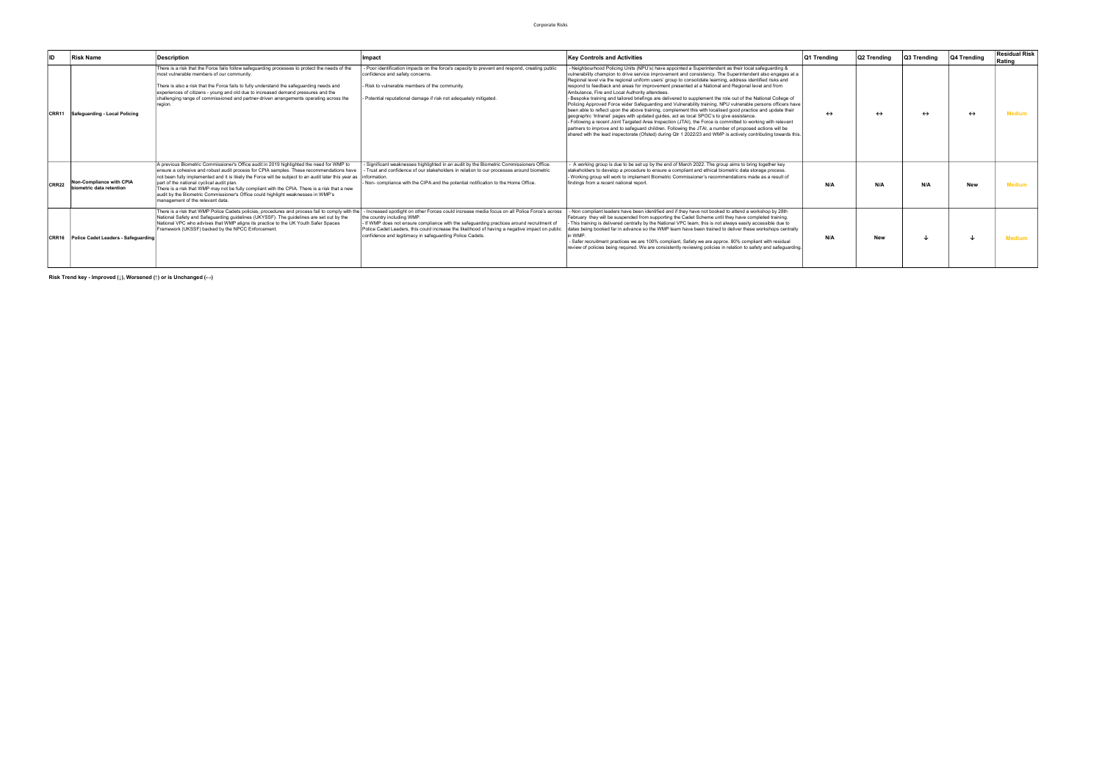| ID    | <b>Risk Name</b>                                     | <b>Description</b>                                                                                                                                                                                                                                                                                                                                                                                                                                                                                                                                                             | Impact                                                                                                                                                                                                                                                                                                                                                                                                                                                                                   | <b>Key Controls and Activities</b>                                                                                                                                                                                                                                                                                                                                                                                                                                                                                                                                                                                                                                                                                                                                                                                                                                                                                                                                                                                                                                                                                                                                                                                                                                          | Q1 Trending       | Q2 Trending | Q3 Trending       | 04 Trending       | <b>Residual Risk</b><br>Rating |
|-------|------------------------------------------------------|--------------------------------------------------------------------------------------------------------------------------------------------------------------------------------------------------------------------------------------------------------------------------------------------------------------------------------------------------------------------------------------------------------------------------------------------------------------------------------------------------------------------------------------------------------------------------------|------------------------------------------------------------------------------------------------------------------------------------------------------------------------------------------------------------------------------------------------------------------------------------------------------------------------------------------------------------------------------------------------------------------------------------------------------------------------------------------|-----------------------------------------------------------------------------------------------------------------------------------------------------------------------------------------------------------------------------------------------------------------------------------------------------------------------------------------------------------------------------------------------------------------------------------------------------------------------------------------------------------------------------------------------------------------------------------------------------------------------------------------------------------------------------------------------------------------------------------------------------------------------------------------------------------------------------------------------------------------------------------------------------------------------------------------------------------------------------------------------------------------------------------------------------------------------------------------------------------------------------------------------------------------------------------------------------------------------------------------------------------------------------|-------------------|-------------|-------------------|-------------------|--------------------------------|
|       | CRR11 Safeguarding - Local Policing                  | There is a risk that the Force fails follow safeguarding processes to protect the needs of the<br>most vulnerable members of our community.<br>There is also a risk that the Force fails to fully understand the safeguarding needs and<br>experiences of citizens - young and old due to increased demand pressures and the<br>challenging range of commissioned and partner-driven arrangements operating across the                                                                                                                                                         | - Poor identification impacts on the force's capacity to prevent and respond, creating public<br>confidence and safety concerns.<br>- Risk to vulnerable members of the community.<br>- Potential reputational damage if risk not adequately mitigated.                                                                                                                                                                                                                                  | Neighbourhood Policing Units (NPU's) have appointed a Superintendent as their local safeguarding &<br>vulnerability champion to drive service improvement and consistency. The Superintendent also engages at a<br>Regional level via the regional uniform users' group to consolidate learning, address identified risks and<br>respond to feedback and areas for improvement presented at a National and Regional level and from<br>Ambulance, Fire and Local Authority attendees.<br>- Bespoke training and tailored briefings are delivered to supplement the role out of the National College of<br>Policing Approved Force wider Safeguarding and Vulnerability training. NPU vulnerable persons officers have<br>been able to reflect upon the above training, complement this with localised good practice and update their<br>geographic 'Intranet' pages with updated guides, act as local SPOC's to give assistance.<br>- Following a recent Joint Targeted Area Inspection (JTAI), the Force is committed to working with relevant<br>partners to improve and to safeguard children. Following the JTAI, a number of proposed actions will be<br>shared with the lead inspectorate (Ofsted) during Qtr 1 2022/23 and WMP is actively contributing towards this. | $\leftrightarrow$ |             | $\leftrightarrow$ | $\leftrightarrow$ | <b>Medium</b>                  |
| CRR22 | Non-Compliance with CPIA<br>biometric data retention | A previous Biometric Commissioner's Office audit in 2019 highlighted the need for WMP to<br>ensure a cohesive and robust audit process for CPIA samples. These recommendations have<br>not been fully implemented and it is likely the Force will be subject to an audit later this year as information.<br>part of the national cyclical audit plan.<br>There is a risk that WMP may not be fully compliant with the CPIA. There is a risk that a new<br>audit by the Biometric Commissioner's Office could highlight weaknesses in WMP's<br>management of the relevant data. | - Significant weaknesses highlighted in an audit by the Biometric Commissioners Office.<br>- Trust and confidence of our stakeholders in relation to our processes around biometric<br>- Non- compliance with the CIPA and the potential notification to the Home Office.                                                                                                                                                                                                                | A working group is due to be set up by the end of March 2022. The group aims to bring together key<br>stakeholders to develop a procedure to ensure a compliant and ethical biometric data storage process.<br>- Working group will work to implement Biometric Commissioner's recommendations made as a result of<br>findings from a recent national report.                                                                                                                                                                                                                                                                                                                                                                                                                                                                                                                                                                                                                                                                                                                                                                                                                                                                                                               | N/A               | N/A         | N/A               | <b>New</b>        | <b>Medium</b>                  |
|       | CRR16 Police Cadet Leaders - Safeguarding            | National Safety and Safeguarding guidelines (UKYSSF). The guidelines are set out by the<br>National VPC who advises that WMP aligns its practice to the UK Youth Safer Spaces<br>Framework (UKSSF) backed by the NPCC Enforcement.                                                                                                                                                                                                                                                                                                                                             | There is a risk that WMP Police Cadets policies, procedures and process fail to comply with the   - Increased spotlight on other Forces could increase media focus on all Police Force's across<br>the country including WMP.<br>- If WMP does not ensure compliance with the safeguarding practices around recruitment of<br>Police Cadet Leaders, this could increase the likelihood of having a negative impact on public<br>confidence and legitimacy in safeguarding Police Cadets. | - Non compliant leaders have been identified and if they have not booked to attend a workshop by 28th<br>February they will be suspended from supporting the Cadet Scheme until they have completed training.<br>- This training is delivered centrally by the National VPC team, this is not always easily accessible due to<br>dates being booked far in advance so the WMP team have been trained to deliver these workshops centrally<br>in WMP.<br>- Safer recruitment practices we are 100% compliant, Safety we are approx. 80% compliant with residual<br>review of policies being required. We are consistently reviewing policies in relation to safety and safeguarding.                                                                                                                                                                                                                                                                                                                                                                                                                                                                                                                                                                                         | N/A               | <b>New</b>  |                   |                   | <b>Medium</b>                  |

Risk Trend key - Improved (↓), Worsened (↑) or is Unchanged (←)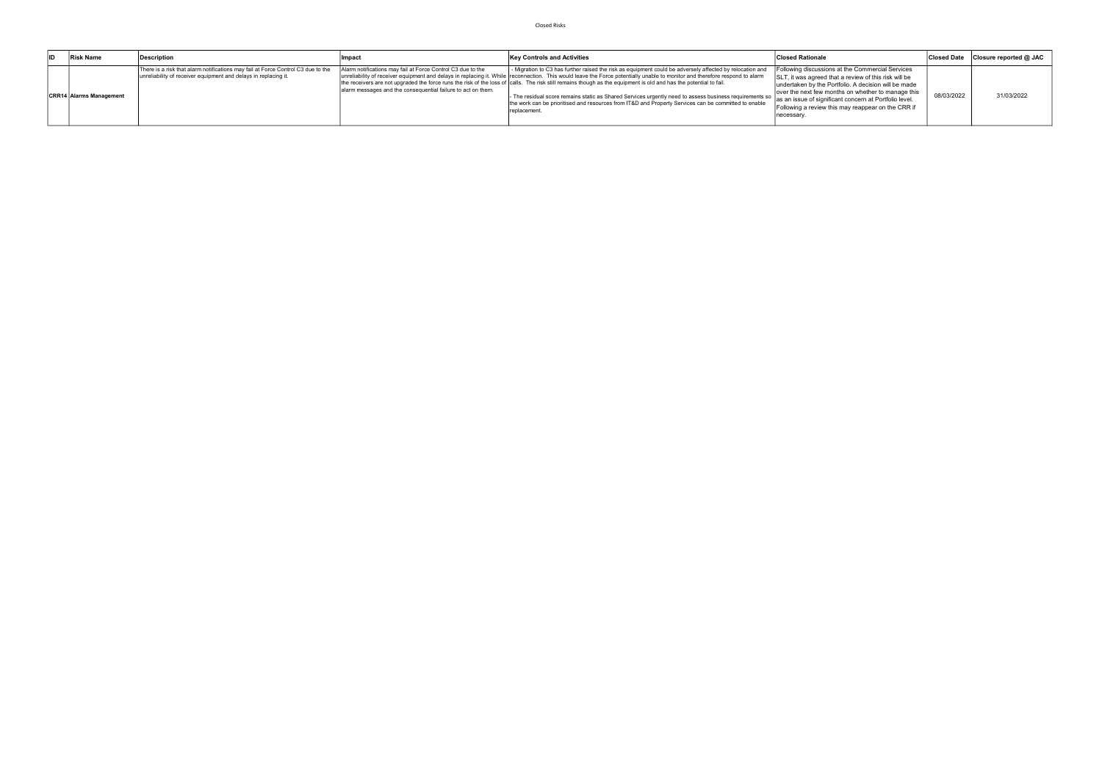| <b>Risk Name</b>               | Description                                                                                                                                         | l Impac                                                                                                                     | <b>Key Controls and Activities</b>                                                                                                                                                                                                                                                                                                                                                                                                                                                                                                                                                                                                                                                                | <b>Closed Rationale</b>                                                                                                                                                                                                                                                                                                                                |            | Closed Date Closure reported @ JAC |
|--------------------------------|-----------------------------------------------------------------------------------------------------------------------------------------------------|-----------------------------------------------------------------------------------------------------------------------------|---------------------------------------------------------------------------------------------------------------------------------------------------------------------------------------------------------------------------------------------------------------------------------------------------------------------------------------------------------------------------------------------------------------------------------------------------------------------------------------------------------------------------------------------------------------------------------------------------------------------------------------------------------------------------------------------------|--------------------------------------------------------------------------------------------------------------------------------------------------------------------------------------------------------------------------------------------------------------------------------------------------------------------------------------------------------|------------|------------------------------------|
| <b>CRR14 Alarms Management</b> | There is a risk that alarm notifications may fail at Force Control C3 due to the<br>unreliability of receiver equipment and delays in replacing it. | Alarm notifications may fail at Force Control C3 due to the<br>alarm messages and the consequential failure to act on them. | - Migration to C3 has further raised the risk as equipment could be adversely affected by relocation and<br>unreliability of receiver equipment and delays in replacing it. While reconnection. This would leave the Force potentially unable to monitor and therefore respond to alarm<br>the receivers are not upgraded the force runs the risk of the loss of calls. The risk still remains though as the equipment is old and has the potential to fail.<br>- The residual score remains static as Shared Services urgently need to assess business requirements so  <br>the work can be prioritised and resources from IT&D and Property Services can be committed to enable<br>replacement. | Following discussions at the Commercial Services<br>SLT, it was agreed that a review of this risk will be<br>undertaken by the Portfolio. A decision will be made<br>over the next few months on whether to manage this<br>as an issue of significant concern at Portfolio level.<br>Following a review this may reappear on the CRR if<br>'necessary. | 08/03/2022 | 31/03/2022                         |